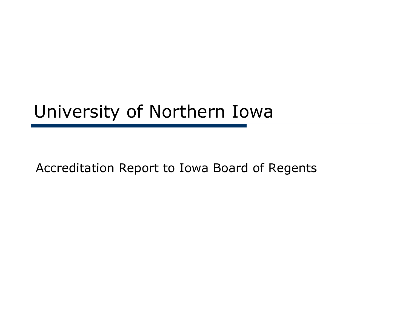#### University of Northern Iowa

Accreditation Report to Iowa Board of Regents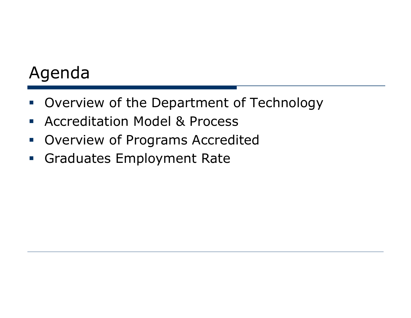# Agenda

- $\mathcal{L}_{\mathcal{A}}$ Overview of the Department of Technology
- $\mathcal{L}_{\text{max}}$ Accreditation Model & Process
- $\mathcal{L}_{\mathcal{A}}$ Overview of Programs Accredited
- $\overline{\phantom{a}}$ Graduates Employment Rate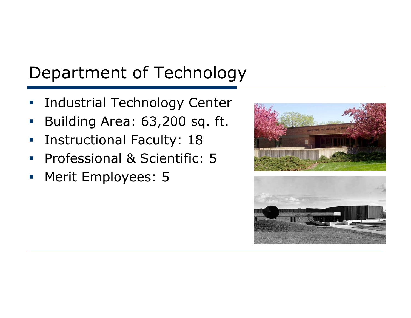# Department of Technology

- $\mathcal{L}_{\mathcal{A}}$ Industrial Technology Center
- $\blacksquare$ Building Area: 63,200 sq. ft.
- $\mathcal{L}_{\mathcal{A}}$ Instructional Faculty: 18
- $\mathcal{L}_{\mathcal{A}}$ Professional & Scientific: 5
- $\mathcal{L}_{\mathcal{A}}$ Merit Employees: 5



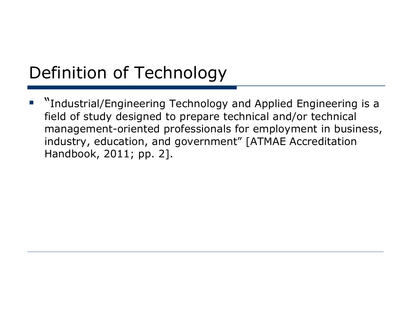# Definition of Technology

 $\mathcal{L}_{\mathcal{A}}$ "Industrial/Engineering Technology and Applied Engineering is a field of study designed to prepare technical and/or technical management-oriented professionals for employment in business, industry, education, and government" [ATMAE Accreditation Handbook, 2011; pp. 2].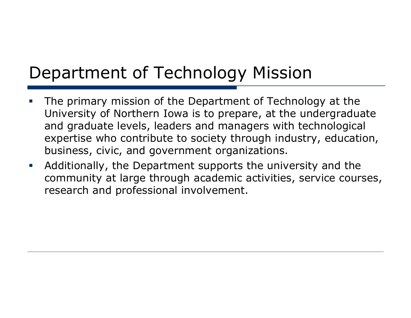# Department of Technology Mission

- $\mathcal{L}_{\mathcal{A}}$  The primary mission of the Department of Technology at the University of Northern Iowa is to prepare, at the undergraduate and graduate levels, leaders and managers with technological expertise who contribute to society through industry, education, business, civic, and government organizations.
- $\Box$  Additionally, the Department supports the university and the community at large through academic activities, service courses, research and professional involvement.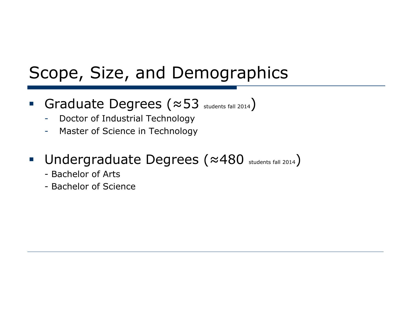# Scope, Size, and Demographics

- $\blacksquare$ ■ Graduate Degrees ( $\approx$ 53 students fall 2014)
	- -Doctor of Industrial Technology
	- -Master of Science in Technology
- Undergraduate Degrees (≈480 students fall 2014)
	- Bachelor of Arts
	- Bachelor of Science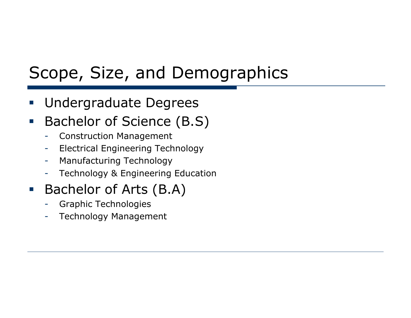# Scope, Size, and Demographics

- $\mathcal{L}_{\mathcal{A}}$ Undergraduate Degrees
- $\mathcal{L}^{\text{max}}$  Bachelor of Science (B.S)
	- -Construction Management
	- -Electrical Engineering Technology
	- -Manufacturing Technology
	- -Technology & Engineering Education

#### ■ Bachelor of Arts (B.A)

- -Graphic Technologies
- -Technology Management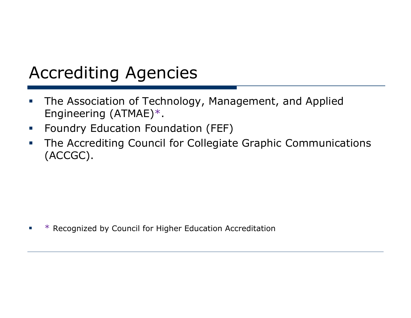# Accrediting Agencies

- $\mathcal{L}_{\mathcal{A}}$  The Association of Technology, Management, and Applied Engineering (ATMAE) \*.
- $\mathcal{L}_{\mathcal{A}}$ Foundry Education Foundation (FEF)
- $\mathcal{L}_{\mathcal{A}}$  The Accrediting Council for Collegiate Graphic Communications (ACCGC).

 $\mathcal{L}_{\mathcal{A}}$ \* Recognized by Council for Higher Education Accreditation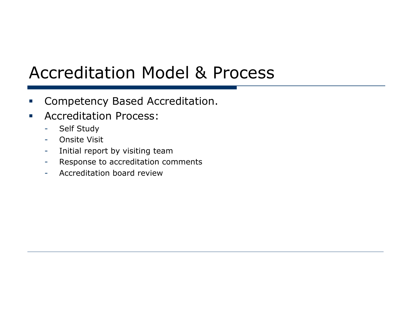#### Accreditation Model & Process

- $\mathcal{L}_{\mathcal{A}}$ Competency Based Accreditation.
- $\overline{\phantom{a}}$  Accreditation Process:
	- -Self Study
	- Onsite Visit
	- Initial report by visiting team
	- -Response to accreditation comments
	- Accreditation board review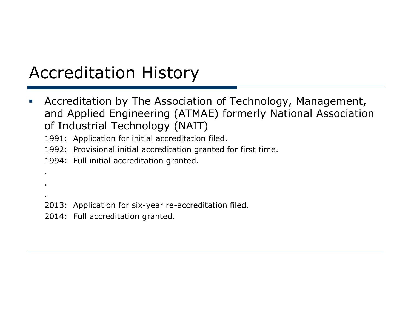# Accreditation History

 $\mathcal{L}_{\mathcal{A}}$  Accreditation by The Association of Technology, Management, and Applied Engineering (ATMAE) formerly National Association of Industrial Technology (NAIT)

1991: Application for initial accreditation filed.

- 1992: Provisional initial accreditation granted for first time.
- 1994: Full initial accreditation granted.

2013: Application for six-year re-accreditation filed.

2014: Full accreditation granted.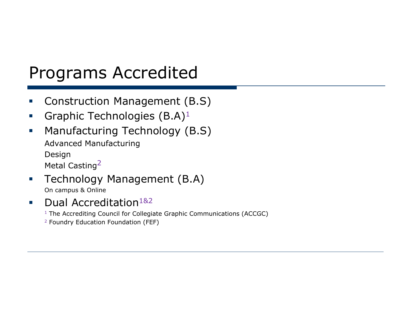#### Programs Accredited

- $\mathcal{L}_{\mathcal{A}}$ Construction Management (B.S)
- $\mathcal{L}_{\mathcal{A}}$ **Graphic Technologies**  $(B.A)^1$
- $\mathcal{L}_{\mathcal{A}}$  Manufacturing Technology (B.S) Advanced Manufacturing Design Metal Casting<sup>2</sup>
- $\mathcal{L}_{\mathcal{A}}$  Technology Management (B.A) On campus & Online
- $\overline{\phantom{a}}$ Dual Accreditation<sup>1&2</sup>
	- 1 The Accrediting Council for Collegiate Graphic Communications (ACCGC)
	- <sup>2</sup> Foundry Education Foundation (FEF)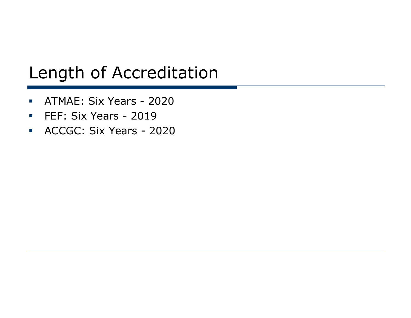#### Length of Accreditation

- $\mathcal{L}_{\mathcal{A}}$ ATMAE: Six Years - 2020
- $\blacksquare$ FEF: Six Years - 2019
- $\mathcal{L}_{\mathcal{A}}$ ACCGC: Six Years - 2020